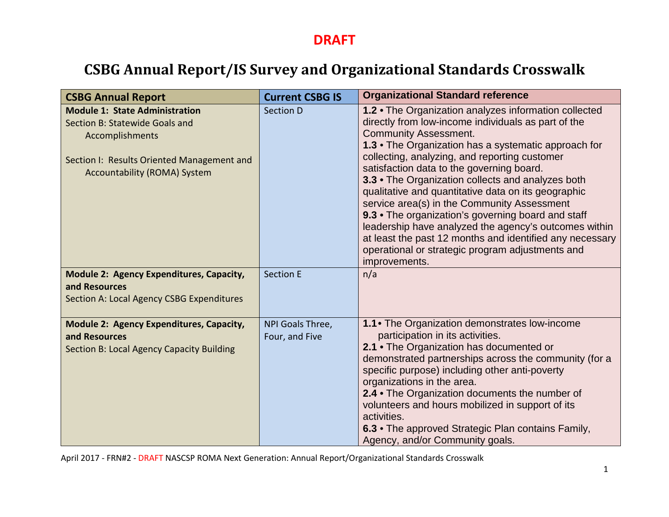## **DRAFT**

## **CSBG Annual Report/IS Survey and Organizational Standards Crosswalk**

| <b>CSBG Annual Report</b>                                                                                                                                                       | <b>Current CSBG IS</b>             | <b>Organizational Standard reference</b>                                                                                                                                                                                                                                                                                                                                                                                                                                                                                                                                                                                                                                                                      |
|---------------------------------------------------------------------------------------------------------------------------------------------------------------------------------|------------------------------------|---------------------------------------------------------------------------------------------------------------------------------------------------------------------------------------------------------------------------------------------------------------------------------------------------------------------------------------------------------------------------------------------------------------------------------------------------------------------------------------------------------------------------------------------------------------------------------------------------------------------------------------------------------------------------------------------------------------|
| <b>Module 1: State Administration</b><br>Section B: Statewide Goals and<br>Accomplishments<br>Section I: Results Oriented Management and<br><b>Accountability (ROMA) System</b> | Section D                          | 1.2 . The Organization analyzes information collected<br>directly from low-income individuals as part of the<br><b>Community Assessment.</b><br>1.3 • The Organization has a systematic approach for<br>collecting, analyzing, and reporting customer<br>satisfaction data to the governing board.<br>3.3 • The Organization collects and analyzes both<br>qualitative and quantitative data on its geographic<br>service area(s) in the Community Assessment<br>9.3 • The organization's governing board and staff<br>leadership have analyzed the agency's outcomes within<br>at least the past 12 months and identified any necessary<br>operational or strategic program adjustments and<br>improvements. |
| Module 2: Agency Expenditures, Capacity,<br>and Resources<br>Section A: Local Agency CSBG Expenditures                                                                          | <b>Section E</b>                   | n/a                                                                                                                                                                                                                                                                                                                                                                                                                                                                                                                                                                                                                                                                                                           |
| <b>Module 2: Agency Expenditures, Capacity,</b><br>and Resources<br><b>Section B: Local Agency Capacity Building</b>                                                            | NPI Goals Three,<br>Four, and Five | 1.1 • The Organization demonstrates low-income<br>participation in its activities.<br>2.1 • The Organization has documented or<br>demonstrated partnerships across the community (for a<br>specific purpose) including other anti-poverty<br>organizations in the area.<br>2.4 • The Organization documents the number of<br>volunteers and hours mobilized in support of its<br>activities.<br>6.3 • The approved Strategic Plan contains Family,<br>Agency, and/or Community goals.                                                                                                                                                                                                                         |

April 2017 - FRN#2 - DRAFT NASCSP ROMA Next Generation: Annual Report/Organizational Standards Crosswalk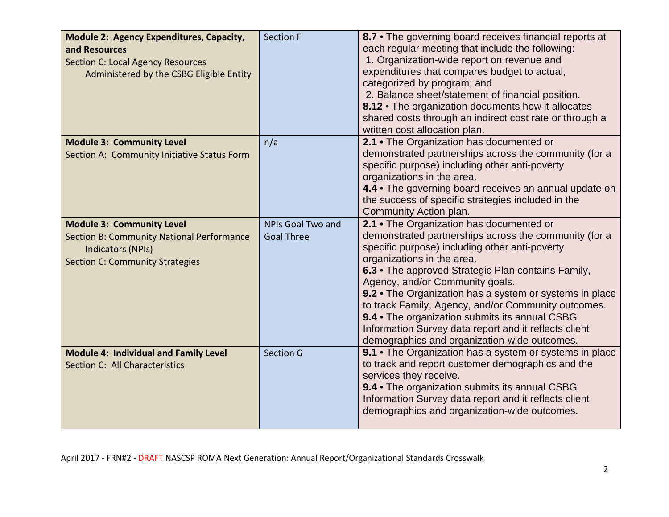| Module 2: Agency Expenditures, Capacity,<br>and Resources<br><b>Section C: Local Agency Resources</b><br>Administered by the CSBG Eligible Entity          | <b>Section F</b>                       | 8.7 • The governing board receives financial reports at<br>each regular meeting that include the following:<br>1. Organization-wide report on revenue and<br>expenditures that compares budget to actual,<br>categorized by program; and<br>2. Balance sheet/statement of financial position.<br>8.12 • The organization documents how it allocates<br>shared costs through an indirect cost rate or through a<br>written cost allocation plan.                                                                                                         |
|------------------------------------------------------------------------------------------------------------------------------------------------------------|----------------------------------------|---------------------------------------------------------------------------------------------------------------------------------------------------------------------------------------------------------------------------------------------------------------------------------------------------------------------------------------------------------------------------------------------------------------------------------------------------------------------------------------------------------------------------------------------------------|
| <b>Module 3: Community Level</b><br>Section A: Community Initiative Status Form                                                                            | n/a                                    | 2.1 • The Organization has documented or<br>demonstrated partnerships across the community (for a<br>specific purpose) including other anti-poverty<br>organizations in the area.<br>4.4 • The governing board receives an annual update on<br>the success of specific strategies included in the<br>Community Action plan.                                                                                                                                                                                                                             |
| <b>Module 3: Community Level</b><br><b>Section B: Community National Performance</b><br><b>Indicators (NPIs)</b><br><b>Section C: Community Strategies</b> | NPIs Goal Two and<br><b>Goal Three</b> | 2.1 • The Organization has documented or<br>demonstrated partnerships across the community (for a<br>specific purpose) including other anti-poverty<br>organizations in the area.<br>6.3 • The approved Strategic Plan contains Family,<br>Agency, and/or Community goals.<br>9.2 • The Organization has a system or systems in place<br>to track Family, Agency, and/or Community outcomes.<br>9.4 • The organization submits its annual CSBG<br>Information Survey data report and it reflects client<br>demographics and organization-wide outcomes. |
| <b>Module 4: Individual and Family Level</b><br>Section C: All Characteristics                                                                             | <b>Section G</b>                       | 9.1 • The Organization has a system or systems in place<br>to track and report customer demographics and the<br>services they receive.<br>9.4 • The organization submits its annual CSBG<br>Information Survey data report and it reflects client<br>demographics and organization-wide outcomes.                                                                                                                                                                                                                                                       |